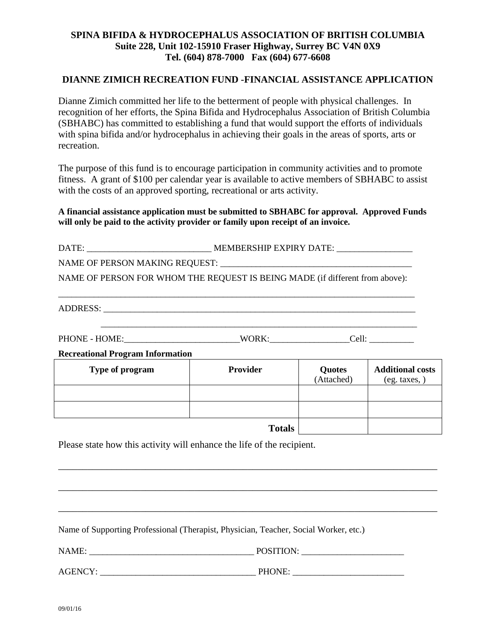## **SPINA BIFIDA & HYDROCEPHALUS ASSOCIATION OF BRITISH COLUMBIA Suite 228, Unit 102-15910 Fraser Highway, Surrey BC V4N 0X9 Tel. (604) 878-7000 Fax (604) 677-6608**

## **DIANNE ZIMICH RECREATION FUND -FINANCIAL ASSISTANCE APPLICATION**

Dianne Zimich committed her life to the betterment of people with physical challenges. In recognition of her efforts, the Spina Bifida and Hydrocephalus Association of British Columbia (SBHABC) has committed to establishing a fund that would support the efforts of individuals with spina bifida and/or hydrocephalus in achieving their goals in the areas of sports, arts or recreation.

The purpose of this fund is to encourage participation in community activities and to promote fitness. A grant of \$100 per calendar year is available to active members of SBHABC to assist with the costs of an approved sporting, recreational or arts activity.

**A financial assistance application must be submitted to SBHABC for approval. Approved Funds will only be paid to the activity provider or family upon receipt of an invoice.**

| NAME OF PERSON FOR WHOM THE REQUEST IS BEING MADE (if different from above): |                 |                             |                                          |
|------------------------------------------------------------------------------|-----------------|-----------------------------|------------------------------------------|
|                                                                              |                 |                             |                                          |
|                                                                              |                 |                             |                                          |
|                                                                              |                 |                             |                                          |
|                                                                              |                 |                             |                                          |
| <b>Recreational Program Information</b>                                      |                 |                             |                                          |
| Type of program                                                              | <b>Provider</b> | <b>Quotes</b><br>(Attached) | <b>Additional costs</b><br>(eg. taxes, ) |
|                                                                              |                 |                             |                                          |
|                                                                              |                 |                             |                                          |
|                                                                              |                 |                             |                                          |

\_\_\_\_\_\_\_\_\_\_\_\_\_\_\_\_\_\_\_\_\_\_\_\_\_\_\_\_\_\_\_\_\_\_\_\_\_\_\_\_\_\_\_\_\_\_\_\_\_\_\_\_\_\_\_\_\_\_\_\_\_\_\_\_\_\_\_\_\_\_\_\_\_\_\_\_\_\_

\_\_\_\_\_\_\_\_\_\_\_\_\_\_\_\_\_\_\_\_\_\_\_\_\_\_\_\_\_\_\_\_\_\_\_\_\_\_\_\_\_\_\_\_\_\_\_\_\_\_\_\_\_\_\_\_\_\_\_\_\_\_\_\_\_\_\_\_\_\_\_\_\_\_\_\_\_\_

\_\_\_\_\_\_\_\_\_\_\_\_\_\_\_\_\_\_\_\_\_\_\_\_\_\_\_\_\_\_\_\_\_\_\_\_\_\_\_\_\_\_\_\_\_\_\_\_\_\_\_\_\_\_\_\_\_\_\_\_\_\_\_\_\_\_\_\_\_\_\_\_\_\_\_\_\_\_

**Totals**

Please state how this activity will enhance the life of the recipient.

Name of Supporting Professional (Therapist, Physician, Teacher, Social Worker, etc.)

NAME: \_\_\_\_\_\_\_\_\_\_\_\_\_\_\_\_\_\_\_\_\_\_\_\_\_\_\_\_\_\_\_\_\_\_\_\_\_ POSITION: \_\_\_\_\_\_\_\_\_\_\_\_\_\_\_\_\_\_\_\_\_\_\_

AGENCY: PHONE: